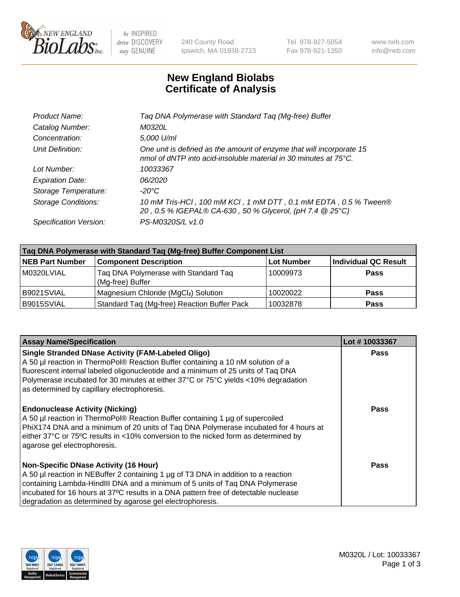

 $be$  INSPIRED drive DISCOVERY stay GENUINE

240 County Road Ipswich, MA 01938-2723 Tel 978-927-5054 Fax 978-921-1350 www.neb.com info@neb.com

## **New England Biolabs Certificate of Analysis**

| Product Name:              | Taq DNA Polymerase with Standard Taq (Mg-free) Buffer                                                                                              |
|----------------------------|----------------------------------------------------------------------------------------------------------------------------------------------------|
| Catalog Number:            | M0320L                                                                                                                                             |
| Concentration:             | 5,000 U/ml                                                                                                                                         |
| Unit Definition:           | One unit is defined as the amount of enzyme that will incorporate 15<br>nmol of dNTP into acid-insoluble material in 30 minutes at $75^{\circ}$ C. |
| Lot Number:                | 10033367                                                                                                                                           |
| <b>Expiration Date:</b>    | 06/2020                                                                                                                                            |
| Storage Temperature:       | $-20^{\circ}$ C                                                                                                                                    |
| <b>Storage Conditions:</b> | 10 mM Tris-HCl, 100 mM KCl, 1 mM DTT, 0.1 mM EDTA, 0.5 % Tween®<br>20, 0.5 % IGEPAL® CA-630, 50 % Glycerol, (pH 7.4 @ 25°C)                        |
| Specification Version:     | PS-M0320S/L v1.0                                                                                                                                   |

| Tag DNA Polymerase with Standard Tag (Mg-free) Buffer Component List |                                                          |                   |                             |  |
|----------------------------------------------------------------------|----------------------------------------------------------|-------------------|-----------------------------|--|
| <b>NEB Part Number</b>                                               | <b>Component Description</b>                             | <b>Lot Number</b> | <b>Individual QC Result</b> |  |
| M0320LVIAL                                                           | Tag DNA Polymerase with Standard Tag<br>(Mg-free) Buffer | 10009973          | Pass                        |  |
| B9021SVIAL                                                           | Magnesium Chloride (MgCl2) Solution                      | 10020022          | Pass                        |  |
| B9015SVIAL                                                           | Standard Taq (Mg-free) Reaction Buffer Pack              | 10032878          | <b>Pass</b>                 |  |

| <b>Assay Name/Specification</b>                                                                                                                                                                                                                                                                                                                                        | Lot #10033367 |
|------------------------------------------------------------------------------------------------------------------------------------------------------------------------------------------------------------------------------------------------------------------------------------------------------------------------------------------------------------------------|---------------|
| <b>Single Stranded DNase Activity (FAM-Labeled Oligo)</b><br>A 50 µl reaction in ThermoPol® Reaction Buffer containing a 10 nM solution of a<br>fluorescent internal labeled oligonucleotide and a minimum of 25 units of Taq DNA<br>Polymerase incubated for 30 minutes at either 37°C or 75°C yields <10% degradation<br>as determined by capillary electrophoresis. | <b>Pass</b>   |
| <b>Endonuclease Activity (Nicking)</b><br>A 50 µl reaction in ThermoPol® Reaction Buffer containing 1 µg of supercoiled<br>PhiX174 DNA and a minimum of 20 units of Taq DNA Polymerase incubated for 4 hours at<br>either 37°C or 75°C results in <10% conversion to the nicked form as determined by<br>agarose gel electrophoresis.                                  | Pass          |
| <b>Non-Specific DNase Activity (16 Hour)</b><br>A 50 µl reaction in NEBuffer 2 containing 1 µg of T3 DNA in addition to a reaction<br>containing Lambda-HindIII DNA and a minimum of 5 units of Taq DNA Polymerase<br>incubated for 16 hours at 37°C results in a DNA pattern free of detectable nuclease<br>degradation as determined by agarose gel electrophoresis. | Pass          |

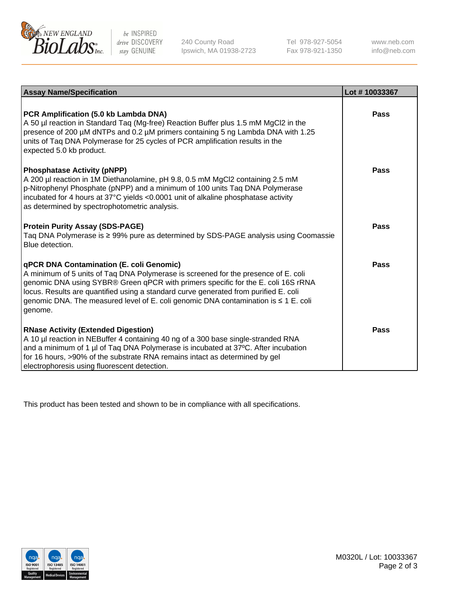

 $be$  INSPIRED drive DISCOVERY stay GENUINE

240 County Road Ipswich, MA 01938-2723 Tel 978-927-5054 Fax 978-921-1350 www.neb.com info@neb.com

| <b>Assay Name/Specification</b>                                                                                                                                                                                                                                                                                                                                                                                           | Lot #10033367 |
|---------------------------------------------------------------------------------------------------------------------------------------------------------------------------------------------------------------------------------------------------------------------------------------------------------------------------------------------------------------------------------------------------------------------------|---------------|
| PCR Amplification (5.0 kb Lambda DNA)<br>A 50 µl reaction in Standard Taq (Mg-free) Reaction Buffer plus 1.5 mM MgCl2 in the<br>presence of 200 µM dNTPs and 0.2 µM primers containing 5 ng Lambda DNA with 1.25<br>units of Taq DNA Polymerase for 25 cycles of PCR amplification results in the<br>expected 5.0 kb product.                                                                                             | Pass          |
| <b>Phosphatase Activity (pNPP)</b><br>A 200 µl reaction in 1M Diethanolamine, pH 9.8, 0.5 mM MgCl2 containing 2.5 mM<br>p-Nitrophenyl Phosphate (pNPP) and a minimum of 100 units Taq DNA Polymerase<br>incubated for 4 hours at 37°C yields <0.0001 unit of alkaline phosphatase activity<br>as determined by spectrophotometric analysis.                                                                               | Pass          |
| <b>Protein Purity Assay (SDS-PAGE)</b><br>Taq DNA Polymerase is ≥ 99% pure as determined by SDS-PAGE analysis using Coomassie<br>Blue detection.                                                                                                                                                                                                                                                                          | Pass          |
| <b>qPCR DNA Contamination (E. coli Genomic)</b><br>A minimum of 5 units of Taq DNA Polymerase is screened for the presence of E. coli<br>genomic DNA using SYBR® Green qPCR with primers specific for the E. coli 16S rRNA<br>locus. Results are quantified using a standard curve generated from purified E. coli<br>genomic DNA. The measured level of E. coli genomic DNA contamination is $\leq 1$ E. coli<br>genome. | Pass          |
| <b>RNase Activity (Extended Digestion)</b><br>A 10 µl reaction in NEBuffer 4 containing 40 ng of a 300 base single-stranded RNA<br>and a minimum of 1 µl of Taq DNA Polymerase is incubated at 37°C. After incubation<br>for 16 hours, >90% of the substrate RNA remains intact as determined by gel<br>electrophoresis using fluorescent detection.                                                                      | Pass          |

This product has been tested and shown to be in compliance with all specifications.